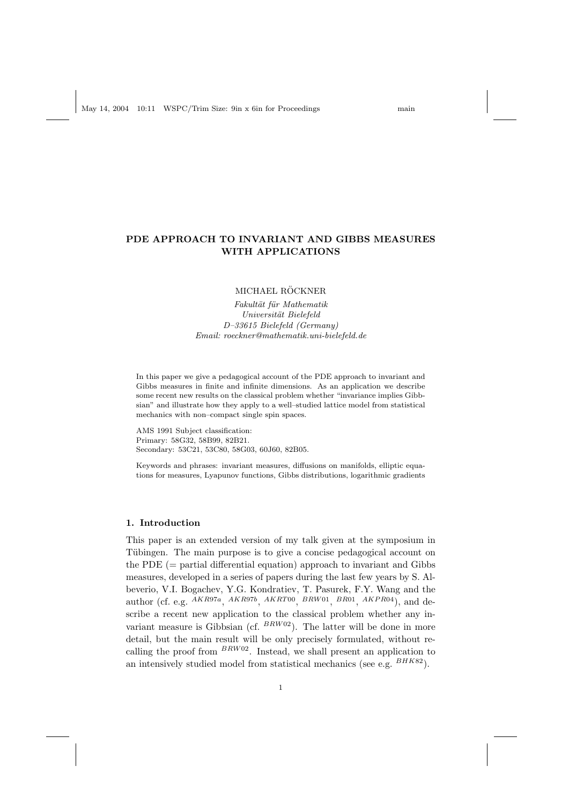# PDE APPROACH TO INVARIANT AND GIBBS MEASURES

MICHAEL RÖCKNER

WITH APPLICATIONS

Fakultät für Mathematik Universität Bielefeld D–33615 Bielefeld (Germany) Email: roeckner@mathematik.uni-bielefeld.de

In this paper we give a pedagogical account of the PDE approach to invariant and Gibbs measures in finite and infinite dimensions. As an application we describe some recent new results on the classical problem whether "invariance implies Gibbsian" and illustrate how they apply to a well–studied lattice model from statistical mechanics with non–compact single spin spaces.

AMS 1991 Subject classification: Primary: 58G32, 58B99, 82B21. Secondary: 53C21, 53C80, 58G03, 60J60, 82B05.

Keywords and phrases: invariant measures, diffusions on manifolds, elliptic equations for measures, Lyapunov functions, Gibbs distributions, logarithmic gradients

# 1. Introduction

This paper is an extended version of my talk given at the symposium in Tübingen. The main purpose is to give a concise pedagogical account on the PDE  $(=$  partial differential equation) approach to invariant and Gibbs measures, developed in a series of papers during the last few years by S. Albeverio, V.I. Bogachev, Y.G. Kondratiev, T. Pasurek, F.Y. Wang and the author (cf. e.g.  $^{AKR97a}$ ,  $^{AKR97b}$ ,  $^{AKRTO0}$ ,  $^{BRW01}$ ,  $^{BR01}$ ,  $^{AKPR04}$ ), and describe a recent new application to the classical problem whether any invariant measure is Gibbsian (cf.  $BRW02$ ). The latter will be done in more detail, but the main result will be only precisely formulated, without recalling the proof from  $BRW02$ . Instead, we shall present an application to an intensively studied model from statistical mechanics (see e.g.  $^{BHK82}$ ).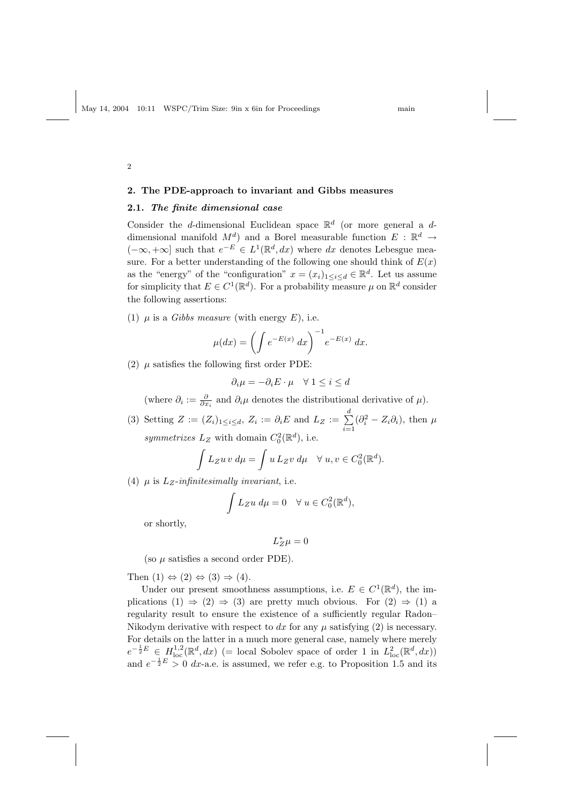#### 2. The PDE-approach to invariant and Gibbs measures

## 2.1. The finite dimensional case

Consider the d-dimensional Euclidean space  $\mathbb{R}^d$  (or more general a ddimensional manifold  $M^d$ ) and a Borel measurable function  $E : \mathbb{R}^d \to$  $(-\infty, +\infty]$  such that  $e^{-E} \in L^1(\mathbb{R}^d, dx)$  where dx denotes Lebesgue measure. For a better understanding of the following one should think of  $E(x)$ as the "energy" of the "configuration"  $x = (x_i)_{1 \leq i \leq d} \in \mathbb{R}^d$ . Let us assume for simplicity that  $E \in C^1(\mathbb{R}^d)$ . For a probability measure  $\mu$  on  $\mathbb{R}^d$  consider the following assertions:

(1)  $\mu$  is a *Gibbs measure* (with energy *E*), i.e.

$$
\mu(dx) = \left(\int e^{-E(x)} dx\right)^{-1} e^{-E(x)} dx.
$$

(2)  $\mu$  satisfies the following first order PDE:

$$
\partial_i \mu = -\partial_i E \cdot \mu \quad \forall \ 1 \leq i \leq d
$$

(where  $\partial_i := \frac{\partial}{\partial x_i}$  and  $\partial_i \mu$  denotes the distributional derivative of  $\mu$ ).

(3) Setting  $Z := (Z_i)_{1 \leq i \leq d}, Z_i := \partial_i E$  and  $L_Z := \sum_{i=1}^d$  $i=1$  $(\partial_i^2 - Z_i \partial_i)$ , then  $\mu$ symmetrizes  $L_Z$  with domain  $C_0^2(\mathbb{R}^d)$ , i.e.

$$
\int L_Z u v \, d\mu = \int u \, L_Z v \, d\mu \quad \forall \ u, v \in C_0^2(\mathbb{R}^d).
$$

(4)  $\mu$  is  $L_z$ -infinitesimally invariant, i.e.

$$
\int L_Z u \, d\mu = 0 \quad \forall \ u \in C_0^2(\mathbb{R}^d),
$$

or shortly,

$$
L_Z^*\mu=0
$$

(so  $\mu$  satisfies a second order PDE).

Then  $(1) \Leftrightarrow (2) \Leftrightarrow (3) \Rightarrow (4)$ .

Under our present smoothness assumptions, i.e.  $E \in C^1(\mathbb{R}^d)$ , the implications  $(1) \Rightarrow (2) \Rightarrow (3)$  are pretty much obvious. For  $(2) \Rightarrow (1)$  a regularity result to ensure the existence of a sufficiently regular Radon– Nikodym derivative with respect to dx for any  $\mu$  satisfying (2) is necessary. For details on the latter in a much more general case, namely where merely  $e^{-\frac{1}{2}E} \in H^{1,2}_{loc}(\mathbb{R}^d, dx)$  (= local Sobolev space of order 1 in  $L^2_{loc}(\mathbb{R}^d, dx)$ ) and  $e^{-\frac{1}{2}E} > 0$  dx-a.e. is assumed, we refer e.g. to Proposition 1.5 and its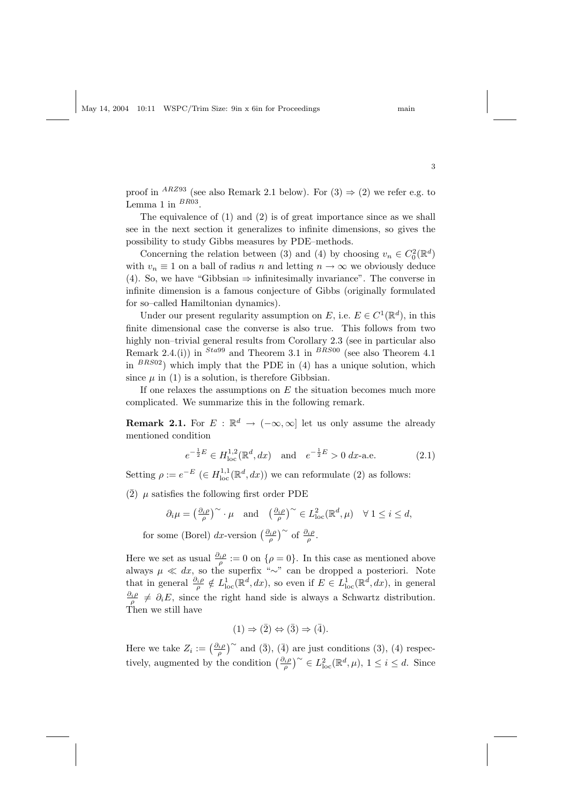proof in <sup>ARZ93</sup> (see also Remark 2.1 below). For  $(3) \Rightarrow (2)$  we refer e.g. to Lemma 1 in  $^{BR03}$ .

The equivalence of (1) and (2) is of great importance since as we shall see in the next section it generalizes to infinite dimensions, so gives the possibility to study Gibbs measures by PDE–methods.

Concerning the relation between (3) and (4) by choosing  $v_n \in C_0^2(\mathbb{R}^d)$ with  $v_n \equiv 1$  on a ball of radius n and letting  $n \to \infty$  we obviously deduce (4). So, we have "Gibbsian  $\Rightarrow$  infinitesimally invariance". The converse in infinite dimension is a famous conjecture of Gibbs (originally formulated for so–called Hamiltonian dynamics).

Under our present regularity assumption on E, i.e.  $E \in C^1(\mathbb{R}^d)$ , in this finite dimensional case the converse is also true. This follows from two highly non–trivial general results from Corollary 2.3 (see in particular also Remark 2.4.(i)) in  $^{Sta99}$  and Theorem 3.1 in  $^{BRS00}$  (see also Theorem 4.1) in  $BRS02$ ) which imply that the PDE in (4) has a unique solution, which since  $\mu$  in (1) is a solution, is therefore Gibbsian.

If one relaxes the assumptions on  $E$  the situation becomes much more complicated. We summarize this in the following remark.

**Remark 2.1.** For  $E : \mathbb{R}^d \to (-\infty, \infty]$  let us only assume the already mentioned condition

$$
e^{-\frac{1}{2}E} \in H^{1,2}_{loc}(\mathbb{R}^d, dx) \quad \text{and} \quad e^{-\frac{1}{2}E} > 0 \, dx \text{-a.e.} \tag{2.1}
$$

Setting  $\rho := e^{-E}$   $(\in H^{1,1}_{loc}(\mathbb{R}^d, dx))$  we can reformulate (2) as follows:

 $(2)$   $\mu$  satisfies the following first order PDE

$$
\partial_i \mu = \left(\frac{\partial_i \rho}{\rho}\right)^{\sim} \cdot \mu
$$
 and  $\left(\frac{\partial_i \rho}{\rho}\right)^{\sim} \in L^2_{loc}(\mathbb{R}^d, \mu) \quad \forall 1 \leq i \leq d$ ,

for some (Borel) dx-version  $\left(\frac{\partial_i \rho}{\rho}\right)$  of  $\frac{\partial_i \rho}{\rho}$ .

Here we set as usual  $\frac{\partial_i \rho}{\rho} := 0$  on  $\{\rho = 0\}$ . In this case as mentioned above always  $\mu \ll dx$ , so the superfix "∼" can be dropped a posteriori. Note that in general  $\frac{\partial_i \rho}{\rho} \notin L^1_{loc}(\mathbb{R}^d, dx)$ , so even if  $E \in L^1_{loc}(\mathbb{R}^d, dx)$ , in general  $\frac{\partial_i \rho}{\rho} \neq \partial_i E$ , since the right hand side is always a Schwartz distribution. Then we still have

$$
(1) \Rightarrow (\overline{2}) \Leftrightarrow (\overline{3}) \Rightarrow (\overline{4}).
$$

Here we take  $Z_i := \left(\frac{\partial_i \rho}{\rho}\right)^\sim$  and  $(\bar{3}), (\bar{4})$  are just conditions (3), (4) respectively, augmented by the condition  $\left(\frac{\partial_i \rho}{\rho}\right)^\sim \in L^2_{\text{loc}}(\mathbb{R}^d, \mu)$ ,  $1 \leq i \leq d$ . Since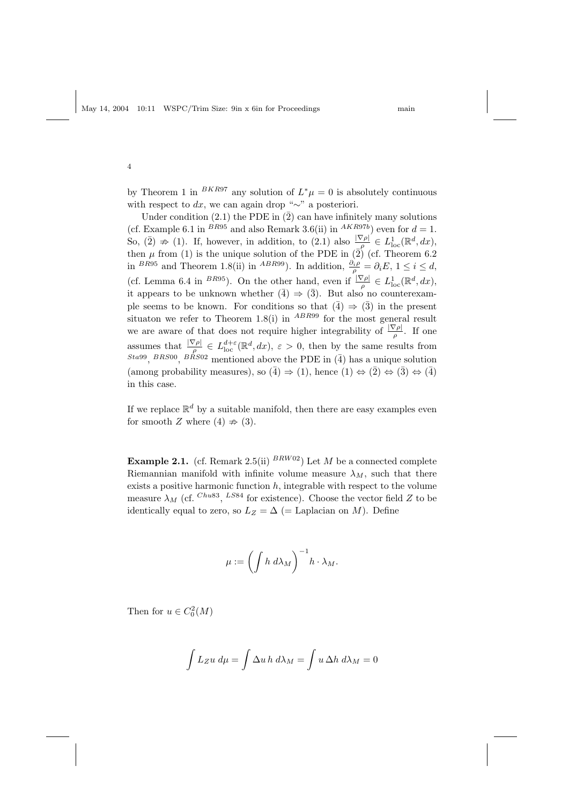by Theorem 1 in <sup>BKR97</sup> any solution of  $L^*\mu = 0$  is absolutely continuous with respect to  $dx$ , we can again drop "∼" a posteriori.

Under condition  $(2.1)$  the PDE in  $(\overline{2})$  can have infinitely many solutions (cf. Example 6.1 in <sup>BR95</sup> and also Remark 3.6(ii) in <sup>AKR97b</sup>) even for  $d = 1$ . So,  $(\bar{2}) \nRightarrow (1)$ . If, however, in addition, to  $(2.1)$  also  $\frac{|\nabla \rho|}{\rho} \in L^1_{loc}(\mathbb{R}^d, dx)$ , then  $\mu$  from (1) is the unique solution of the PDE in  $(\overline{2})$  (cf. Theorem 6.2) in <sup>BR95</sup> and Theorem 1.8(ii) in <sup>ABR99</sup>. In addition,  $\frac{\partial_i \rho}{\rho} = \partial_i E$ ,  $1 \leq i \leq d$ , (cf. Lemma 6.4 in <sup>BR95</sup>). On the other hand, even if  $\frac{|\nabla \rho|}{\rho} \in L^1_{loc}(\mathbb{R}^d, dx)$ , it appears to be unknown whether  $(\bar{4}) \Rightarrow (\bar{3})$ . But also no counterexample seems to be known. For conditions so that  $(\overline{4}) \Rightarrow (\overline{3})$  in the present situaton we refer to Theorem 1.8(i) in  $ABR99$  for the most general result we are aware of that does not require higher integrability of  $\frac{|\nabla \rho|}{\rho}$ . If one assumes that  $\frac{|\nabla \rho|}{\rho} \in L^{d+\varepsilon}_{loc}(\mathbb{R}^d, dx), \varepsilon > 0$ , then by the same results from  $^{Sta99}$ ,  $^{BRSO0}$ ,  $^{BRSO2}$  mentioned above the PDE in (4) has a unique solution (among probability measures), so  $(\overline{4}) \Rightarrow (1)$ , hence  $(1) \Leftrightarrow (\overline{2}) \Leftrightarrow (\overline{3}) \Leftrightarrow (\overline{4})$ in this case.

If we replace  $\mathbb{R}^d$  by a suitable manifold, then there are easy examples even for smooth Z where (4)  $\Rightarrow$  (3).

**Example 2.1.** (cf. Remark 2.5(ii)  $^{BRW02}$ ) Let M be a connected complete Riemannian manifold with infinite volume measure  $\lambda_M$ , such that there exists a positive harmonic function  $h$ , integrable with respect to the volume measure  $\lambda_M$  (cf. Chus3, LS84 for existence). Choose the vector field Z to be identically equal to zero, so  $L_Z = \Delta$  (= Laplacian on M). Define

$$
\mu := \left(\int h \ d\lambda_M\right)^{-1} h \cdot \lambda_M.
$$

Then for  $u \in C_0^2(M)$ 

$$
\int L_Z u \, d\mu = \int \Delta u \, h \, d\lambda_M = \int u \, \Delta h \, d\lambda_M = 0
$$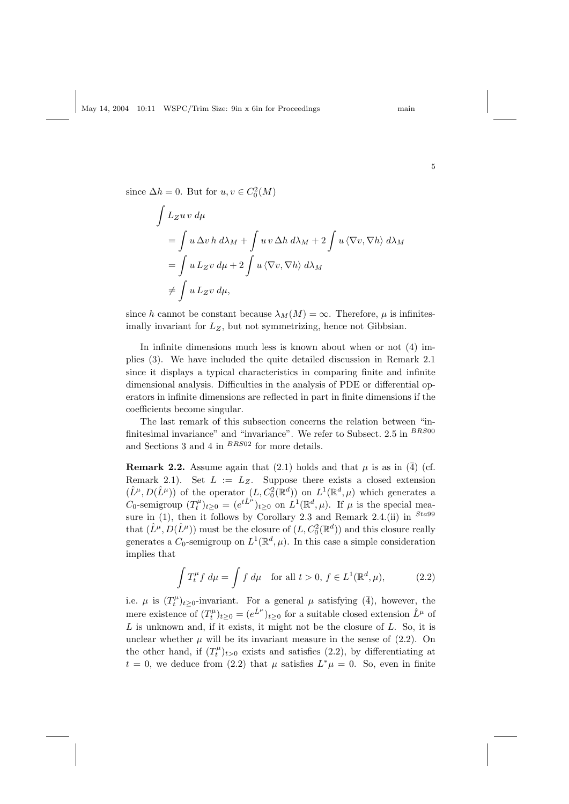since  $\Delta h = 0$ . But for  $u, v \in C_0^2(M)$ 

$$
\int L_Z u v \, d\mu
$$
\n
$$
= \int u \Delta v \, h \, d\lambda_M + \int u v \Delta h \, d\lambda_M + 2 \int u \, \langle \nabla v, \nabla h \rangle \, d\lambda_M
$$
\n
$$
= \int u \, L_Z v \, d\mu + 2 \int u \, \langle \nabla v, \nabla h \rangle \, d\lambda_M
$$
\n
$$
\neq \int u \, L_Z v \, d\mu,
$$

since h cannot be constant because  $\lambda_M(M) = \infty$ . Therefore,  $\mu$  is infinitesimally invariant for  $L_z$ , but not symmetrizing, hence not Gibbsian.

In infinite dimensions much less is known about when or not (4) implies (3). We have included the quite detailed discussion in Remark 2.1 since it displays a typical characteristics in comparing finite and infinite dimensional analysis. Difficulties in the analysis of PDE or differential operators in infinite dimensions are reflected in part in finite dimensions if the coefficients become singular.

The last remark of this subsection concerns the relation between "infinitesimal invariance" and "invariance". We refer to Subsect.  $2.5$  in  $^{BRS00}$ and Sections 3 and 4 in  $BRS02$  for more details.

**Remark 2.2.** Assume again that (2.1) holds and that  $\mu$  is as in ( $\overline{4}$ ) (cf. Remark 2.1). Set  $L := L_Z$ . Suppose there exists a closed extension  $(\hat{L}^{\mu}, D(\hat{L}^{\mu}))$  of the operator  $(L, C_0^2(\mathbb{R}^d))$  on  $L^1(\mathbb{R}^d, \mu)$  which generates a C<sub>0</sub>-semigroup  $(T_t^{\mu})_{t\geq 0} = (e^{t\hat{L}^{\mu}})_{t\geq 0}$  on  $L^1(\mathbb{R}^d, \mu)$ . If  $\mu$  is the special measure in (1), then it follows by Corollary 2.3 and Remark 2.4.(ii) in  $^{Sta99}$ that  $(\hat{L}^{\mu},D(\hat{L}^{\mu}))$  must be the closure of  $(L,C^2_0(\mathbb{R}^d))$  and this closure really generates a  $C_0$ -semigroup on  $L^1(\mathbb{R}^d, \mu)$ . In this case a simple consideration implies that

$$
\int T_t^{\mu} f d\mu = \int f d\mu \quad \text{for all } t > 0, f \in L^1(\mathbb{R}^d, \mu), \tag{2.2}
$$

i.e.  $\mu$  is  $(T_t^{\mu})_{t\geq 0}$ -invariant. For a general  $\mu$  satisfying  $(\bar{4})$ , however, the mere existence of  $(T_t^{\mu})_{t\geq 0} = (e^{\hat{L}^{\mu}})_{t\geq 0}$  for a suitable closed extension  $\hat{L}^{\mu}$  of  $L$  is unknown and, if it exists, it might not be the closure of  $L$ . So, it is unclear whether  $\mu$  will be its invariant measure in the sense of (2.2). On the other hand, if  $(T_t^{\mu})_{t>0}$  exists and satisfies (2.2), by differentiating at  $t = 0$ , we deduce from (2.2) that  $\mu$  satisfies  $L^*\mu = 0$ . So, even in finite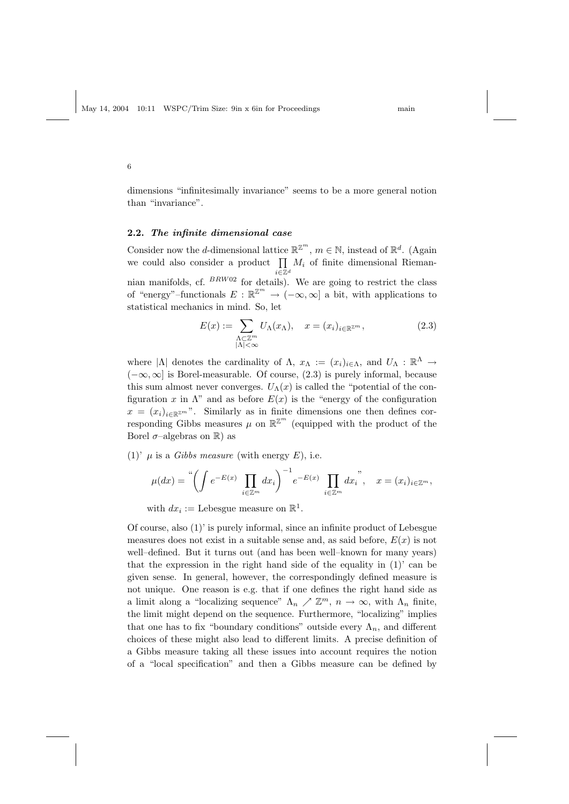dimensions "infinitesimally invariance" seems to be a more general notion than "invariance".

#### 2.2. The infinite dimensional case

Consider now the *d*-dimensional lattice  $\mathbb{R}^{\mathbb{Z}^m}$ ,  $m \in \mathbb{N}$ , instead of  $\mathbb{R}^d$ . (Again we could also consider a product  $\prod M_i$  of finite dimensional Riemani∈Z<sup>d</sup> nian manifolds, cf.  $BRW02$  for details). We are going to restrict the class of "energy"–functionals  $E : \mathbb{R}^{\mathbb{Z}^m} \to (-\infty, \infty]$  a bit, with applications to statistical mechanics in mind. So, let

$$
E(x) := \sum_{\substack{\Lambda \subset \mathbb{Z}^m \\ |\Lambda| < \infty}} U_{\Lambda}(x_{\Lambda}), \quad x = (x_i)_{i \in \mathbb{R}^{\mathbb{Z}^m}},\tag{2.3}
$$

where  $|\Lambda|$  denotes the cardinality of  $\Lambda$ ,  $x_{\Lambda} := (x_i)_{i \in \Lambda}$ , and  $U_{\Lambda} : \mathbb{R}^{\Lambda} \to$  $(-\infty,\infty]$  is Borel-measurable. Of course, (2.3) is purely informal, because this sum almost never converges.  $U_{\Lambda}(x)$  is called the "potential of the configuration x in  $\Lambda$ " and as before  $E(x)$  is the "energy of the configuration  $x = (x_i)_{i \in \mathbb{R}^{\mathbb{Z}^m}}$ . Similarly as in finite dimensions one then defines corresponding Gibbs measures  $\mu$  on  $\mathbb{R}^{\mathbb{Z}^m}$  (equipped with the product of the Borel  $\sigma$ -algebras on  $\mathbb{R}$ ) as

(1)'  $\mu$  is a *Gibbs measure* (with energy E), i.e.

$$
\mu(dx) = \int_{-\infty}^{\infty} \left( \int e^{-E(x)} \prod_{i \in \mathbb{Z}^m} dx_i \right)^{-1} e^{-E(x)} \prod_{i \in \mathbb{Z}^m} dx_i^{\ y}, \quad x = (x_i)_{i \in \mathbb{Z}^m},
$$

with  $dx_i :=$  Lebesgue measure on  $\mathbb{R}^1$ .

Of course, also (1)' is purely informal, since an infinite product of Lebesgue measures does not exist in a suitable sense and, as said before,  $E(x)$  is not well–defined. But it turns out (and has been well–known for many years) that the expression in the right hand side of the equality in  $(1)'$  can be given sense. In general, however, the correspondingly defined measure is not unique. One reason is e.g. that if one defines the right hand side as a limit along a "localizing sequence"  $\Lambda_n \nearrow \mathbb{Z}^m$ ,  $n \to \infty$ , with  $\Lambda_n$  finite, the limit might depend on the sequence. Furthermore, "localizing" implies that one has to fix "boundary conditions" outside every  $\Lambda_n$ , and different choices of these might also lead to different limits. A precise definition of a Gibbs measure taking all these issues into account requires the notion of a "local specification" and then a Gibbs measure can be defined by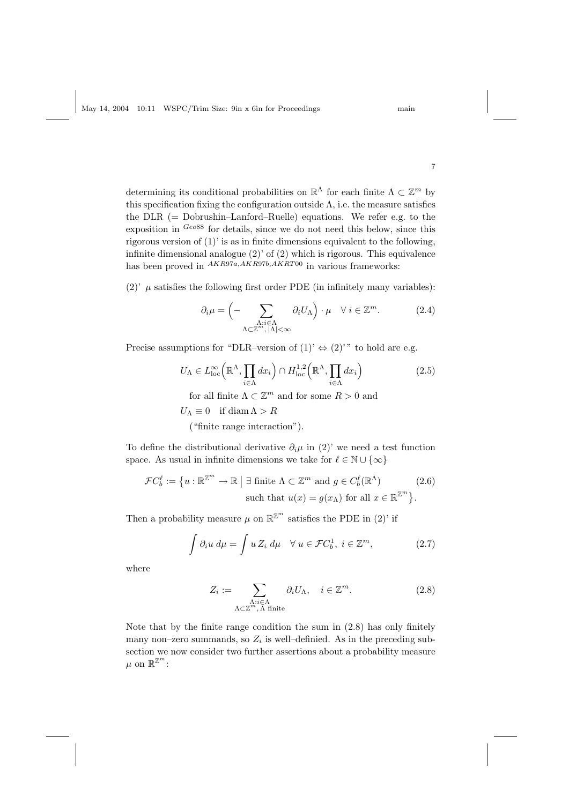determining its conditional probabilities on  $\mathbb{R}^{\Lambda}$  for each finite  $\Lambda \subset \mathbb{Z}^m$  by this specification fixing the configuration outside  $\Lambda$ , i.e. the measure satisfies the  $\text{DLR}$  (= Dobrushin–Lanford–Ruelle) equations. We refer e.g. to the exposition in  $G\epsilon_0$ 88 for details, since we do not need this below, since this rigorous version of (1)' is as in finite dimensions equivalent to the following, infinite dimensional analogue  $(2)$  of  $(2)$  which is rigorous. This equivalence has been proved in  $AKR97a, AKR97b, AKRT00$  in various frameworks:

(2)'  $\mu$  satisfies the following first order PDE (in infinitely many variables):

$$
\partial_i \mu = \left( - \sum_{\substack{\Lambda : i \in \Lambda \\ \Lambda \subset \mathbb{Z}^m, |\Lambda| < \infty}} \partial_i U_{\Lambda} \right) \cdot \mu \quad \forall \ i \in \mathbb{Z}^m. \tag{2.4}
$$

Precise assumptions for "DLR–version of  $(1)$ '  $\Leftrightarrow (2)$ '" to hold are e.g.

$$
U_{\Lambda} \in L_{\text{loc}}^{\infty} \left( \mathbb{R}^{\Lambda}, \prod_{i \in \Lambda} dx_i \right) \cap H_{\text{loc}}^{1,2} \left( \mathbb{R}^{\Lambda}, \prod_{i \in \Lambda} dx_i \right) \tag{2.5}
$$

for all finite  $\Lambda \subset \mathbb{Z}^m$  and for some  $R > 0$  and

 $U_{\Lambda} \equiv 0$  if diam  $\Lambda > R$ 

("finite range interaction").

To define the distributional derivative  $\partial_i \mu$  in (2)' we need a test function space. As usual in infinite dimensions we take for  $\ell \in \mathbb{N} \cup \{\infty\}$ 

$$
\mathcal{F}C_b^{\ell} := \{ u : \mathbb{R}^{\mathbb{Z}^m} \to \mathbb{R} \mid \exists \text{ finite } \Lambda \subset \mathbb{Z}^m \text{ and } g \in C_b^{\ell}(\mathbb{R}^{\Lambda}) \tag{2.6}
$$
  
such that  $u(x) = g(x_{\Lambda})$  for all  $x \in \mathbb{R}^{\mathbb{Z}^m} \}.$ 

Then a probability measure  $\mu$  on  $\mathbb{R}^{\mathbb{Z}^m}$  satisfies the PDE in (2)' if

$$
\int \partial_i u \, d\mu = \int u \, Z_i \, d\mu \quad \forall \, u \in \mathcal{F}C_b^1, \ i \in \mathbb{Z}^m,
$$
\n(2.7)

where

$$
Z_i := \sum_{\substack{\Lambda : i \in \Lambda \\ \Lambda \subset \mathbb{Z}^m, \Lambda \text{ finite}}} \partial_i U_{\Lambda}, \quad i \in \mathbb{Z}^m. \tag{2.8}
$$

Note that by the finite range condition the sum in (2.8) has only finitely many non-zero summands, so  $Z_i$  is well-definied. As in the preceding subsection we now consider two further assertions about a probability measure  $\mu$  on  $\mathbb{R}^{\mathbb{Z}^m}$ :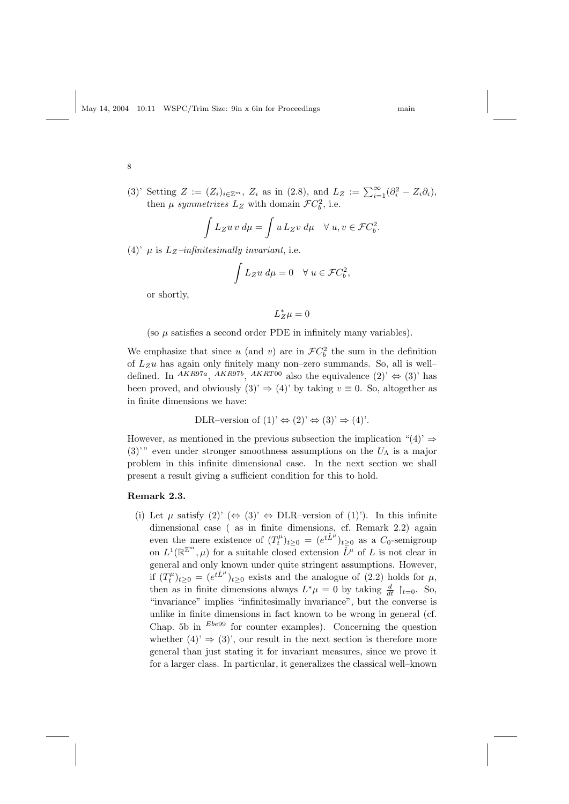(3)' Setting  $Z := (Z_i)_{i \in \mathbb{Z}^m}$ ,  $Z_i$  as in (2.8), and  $L_Z := \sum_{i=1}^{\infty} (\partial_i^2 - Z_i \partial_i)$ , then  $\mu$  symmetrizes  $L_z$  with domain  $\mathcal{F}C_b^2$ , i.e.

$$
\int L_Z u v \, d\mu = \int u \, L_Z v \, d\mu \quad \forall \ u, v \in \mathcal{F}C_b^2.
$$

(4)'  $\mu$  is  $L_z$ -infinitesimally invariant, i.e.

$$
\int L_Z u \, d\mu = 0 \quad \forall \ u \in \mathcal{F}C_b^2,
$$

or shortly,

$$
L_Z^*\mu=0
$$

(so  $\mu$  satisfies a second order PDE in infinitely many variables).

We emphasize that since u (and v) are in  $\mathcal{F}C_b^2$  the sum in the definition of  $L_Zu$  has again only finitely many non–zero summands. So, all is well– defined. In <sup>AKR97a</sup>, <sup>AKR97b</sup>, <sup>AKRT00</sup> also the equivalence  $(2)$ <sup>'</sup>  $\Leftrightarrow$   $(3)$ <sup>'</sup> has been proved, and obviously  $(3) \Rightarrow (4)$  by taking  $v \equiv 0$ . So, altogether as in finite dimensions we have:

DLR–version of  $(1)$ '  $\Leftrightarrow (2)$ '  $\Leftrightarrow (3)$ '  $\Rightarrow (4)$ '.

However, as mentioned in the previous subsection the implication "(4)'  $\Rightarrow$  $(3)$ <sup>'</sup>" even under stronger smoothness assumptions on the  $U_{\Lambda}$  is a major problem in this infinite dimensional case. In the next section we shall present a result giving a sufficient condition for this to hold.

## Remark 2.3.

(i) Let  $\mu$  satisfy  $(2)' \Leftrightarrow (3)' \Leftrightarrow \text{DLR-version of } (1)'.$  In this infinite dimensional case ( as in finite dimensions, cf. Remark 2.2) again even the mere existence of  $(T_t^{\mu})_{t\geq 0} = (e^{t\hat{L}^{\mu}})_{t\geq 0}$  as a  $C_0$ -semigroup on  $L^1(\mathbb{R}^{\mathbb{Z}^m},\mu)$  for a suitable closed extension  $\overline{\tilde{L}}^{\mu}$  of L is not clear in general and only known under quite stringent assumptions. However, if  $(T_t^{\mu})_{t\geq 0} = (e^{t\hat{L}^{\mu}})_{t\geq 0}$  exists and the analogue of (2.2) holds for  $\mu$ , then as in finite dimensions always  $L^*\mu = 0$  by taking  $\frac{d}{dt}$   $\restriction_{t=0}$ . So, "invariance" implies "infinitesimally invariance", but the converse is unlike in finite dimensions in fact known to be wrong in general (cf. Chap. 5b in  $Ebe99$  for counter examples). Concerning the question whether  $(4) \Rightarrow (3)$ , our result in the next section is therefore more general than just stating it for invariant measures, since we prove it for a larger class. In particular, it generalizes the classical well–known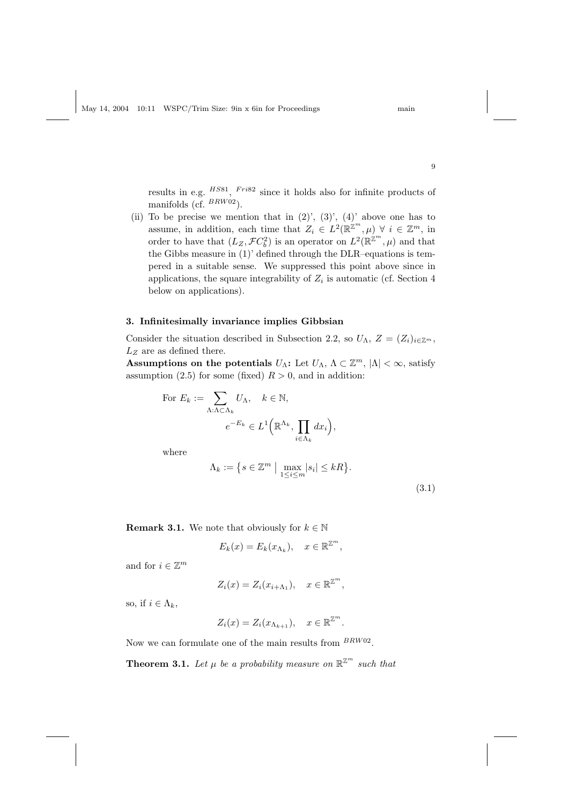results in e.g.  $^{HSS1}$ ,  $^{Fri82}$  since it holds also for infinite products of manifolds (cf.  $^{BRW02}$ ).

(ii) To be precise we mention that in  $(2)$ ',  $(3)$ ',  $(4)$ ' above one has to assume, in addition, each time that  $Z_i \in L^2(\mathbb{R}^{\mathbb{Z}^m}, \mu) \ \forall \ i \in \mathbb{Z}^m$ , in order to have that  $(L_Z, \mathcal{F}C_b^2)$  is an operator on  $L^2(\mathbb{R}^{\mathbb{Z}^m}, \mu)$  and that the Gibbs measure in (1)' defined through the DLR–equations is tempered in a suitable sense. We suppressed this point above since in applications, the square integrability of  $Z_i$  is automatic (cf. Section 4 below on applications).

#### 3. Infinitesimally invariance implies Gibbsian

Consider the situation described in Subsection 2.2, so  $U_{\Lambda}$ ,  $Z = (Z_i)_{i \in \mathbb{Z}^m}$ ,  $L_Z$  are as defined there.

Assumptions on the potentials  $U_{\Lambda}$ : Let  $U_{\Lambda}$ ,  $\Lambda \subset \mathbb{Z}^m$ ,  $|\Lambda| < \infty$ , satisfy assumption (2.5) for some (fixed)  $R > 0$ , and in addition:

For 
$$
E_k := \sum_{\Lambda: \Lambda \subset \Lambda_k} U_{\Lambda}, \quad k \in \mathbb{N},
$$
  

$$
e^{-E_k} \in L^1\Big(\mathbb{R}^{\Lambda_k}, \prod_{i \in \Lambda_k} dx_i\Big),
$$

where

$$
\Lambda_k := \left\{ s \in \mathbb{Z}^m \mid \max_{1 \le i \le m} |s_i| \le kR \right\}.
$$
\n(3.1)

**Remark 3.1.** We note that obviously for  $k \in \mathbb{N}$ 

$$
E_k(x) = E_k(x_{\Lambda_k}), \quad x \in \mathbb{R}^{\mathbb{Z}^m},
$$

and for  $i \in \mathbb{Z}^m$ 

$$
Z_i(x) = Z_i(x_{i+\Lambda_1}), \quad x \in \mathbb{R}^{\mathbb{Z}^m},
$$

so, if  $i \in \Lambda_k$ ,

$$
Z_i(x) = Z_i(x_{\Lambda_{k+1}}), \quad x \in \mathbb{R}^{\mathbb{Z}^m}.
$$

Now we can formulate one of the main results from  $BRW02$ .

**Theorem 3.1.** Let  $\mu$  be a probability measure on  $\mathbb{R}^{\mathbb{Z}^m}$  such that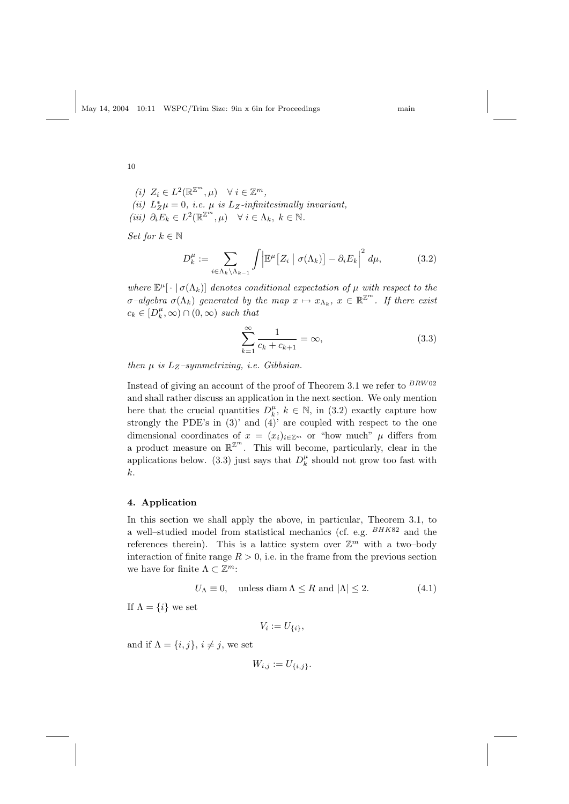(i) 
$$
Z_i \in L^2(\mathbb{R}^{\mathbb{Z}^m}, \mu) \quad \forall i \in \mathbb{Z}^m
$$
,  
\n(ii)  $L_Z^* \mu = 0$ , *i.e.*  $\mu$  is  $L_Z$ -infinitesimally invariant,  
\n(iii)  $\partial_i E_k \in L^2(\mathbb{R}^{\mathbb{Z}^m}, \mu) \quad \forall i \in \Lambda_k, k \in \mathbb{N}$ .

Set for  $k \in \mathbb{N}$ 

$$
D_k^{\mu} := \sum_{i \in \Lambda_k \backslash \Lambda_{k-1}} \int \left| \mathbb{E}^{\mu} \left[ Z_i \mid \sigma(\Lambda_k) \right] - \partial_i E_k \right|^2 d\mu, \tag{3.2}
$$

where  $\mathbb{E}^{\mu}[\cdot | \sigma(\Lambda_k)]$  denotes conditional expectation of  $\mu$  with respect to the  $\sigma$ -algebra  $\sigma(\Lambda_k)$  generated by the map  $x \mapsto x_{\Lambda_k}$ ,  $x \in \mathbb{R}^{\mathbb{Z}^m}$ . If there exist  $c_k \in [D_k^{\mu}, \infty) \cap (0, \infty)$  such that

$$
\sum_{k=1}^{\infty} \frac{1}{c_k + c_{k+1}} = \infty,
$$
\n(3.3)

then  $\mu$  is  $L_Z$ -symmetrizing, i.e. Gibbsian.

Instead of giving an account of the proof of Theorem 3.1 we refer to  $^{BRWO2}$ and shall rather discuss an application in the next section. We only mention here that the crucial quantities  $D_k^{\mu}$ ,  $k \in \mathbb{N}$ , in (3.2) exactly capture how strongly the PDE's in  $(3)'$  and  $(4)'$  are coupled with respect to the one dimensional coordinates of  $x = (x_i)_{i \in \mathbb{Z}^m}$  or "how much"  $\mu$  differs from a product measure on  $\mathbb{R}^{\mathbb{Z}^m}$ . This will become, particularly, clear in the applications below. (3.3) just says that  $D_k^{\mu}$  should not grow too fast with k.

# 4. Application

In this section we shall apply the above, in particular, Theorem 3.1, to a well–studied model from statistical mechanics (cf. e.g.  $^{BHK82}$  and the references therein). This is a lattice system over  $\mathbb{Z}^m$  with a two-body interaction of finite range  $R > 0$ , i.e. in the frame from the previous section we have for finite  $\Lambda \subset \mathbb{Z}^m$ :

$$
U_{\Lambda} \equiv 0, \quad \text{unless } \text{diam}\,\Lambda \le R \text{ and } |\Lambda| \le 2. \tag{4.1}
$$

If  $\Lambda = \{i\}$  we set

$$
V_i := U_{\{i\}},
$$

and if  $\Lambda = \{i, j\}, i \neq j$ , we set

$$
W_{i,j} := U_{\{i,j\}}.
$$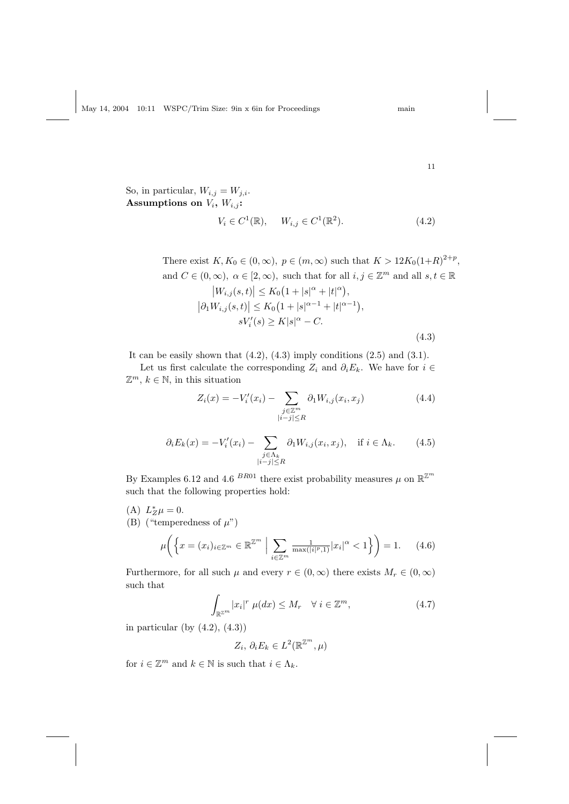,

So, in particular,  $W_{i,j} = W_{j,i}$ . Assumptions on  $V_i$ ,  $W_{i,j}$ :

$$
V_i \in C^1(\mathbb{R}), \quad W_{i,j} \in C^1(\mathbb{R}^2). \tag{4.2}
$$

There exist 
$$
K, K_0 \in (0, \infty), p \in (m, \infty)
$$
 such that  $K > 12K_0(1+R)^{2+p}$  and  $C \in (0, \infty), \alpha \in [2, \infty)$ , such that for all  $i, j \in \mathbb{Z}^m$  and all  $s, t \in \mathbb{R}$ \n $|W_{i,j}(s,t)| \leq K_0 \left(1 + |s|^{\alpha} + |t|^{\alpha}\right),$ \n $|\partial_1 W_{i,j}(s,t)| \leq K_0 \left(1 + |s|^{\alpha-1} + |t|^{\alpha-1}\right),$ \n $sV_i'(s) \geq K|s|^{\alpha} - C.$ \n $(4.3)$ 

It can be easily shown that  $(4.2)$ ,  $(4.3)$  imply conditions  $(2.5)$  and  $(3.1)$ .

Let us first calculate the corresponding  $Z_i$  and  $\partial_i E_k$ . We have for  $i \in$  $\mathbb{Z}^m$ ,  $k \in \mathbb{N}$ , in this situation

$$
Z_i(x) = -V_i'(x_i) - \sum_{\substack{j \in \mathbb{Z}^m \\ |i-j| \le R}} \partial_1 W_{i,j}(x_i, x_j)
$$
(4.4)

$$
\partial_i E_k(x) = -V_i'(x_i) - \sum_{\substack{j \in \Lambda_k \\ |i-j| \le R}} \partial_1 W_{i,j}(x_i, x_j), \quad \text{if } i \in \Lambda_k. \tag{4.5}
$$

By Examples 6.12 and 4.6 <sup>BR01</sup> there exist probability measures  $\mu$  on  $\mathbb{R}^{\mathbb{Z}^m}$ such that the following properties hold:

- (A)  $L_Z^*\mu=0$ .
- (B) ("temperedness of  $\mu$ ")

$$
\mu\bigg(\bigg\{x = (x_i)_{i \in \mathbb{Z}^m} \in \mathbb{R}^{\mathbb{Z}^m} \bigg| \sum_{i \in \mathbb{Z}^m} \frac{1}{\max(|i|^p, 1)} |x_i|^\alpha < 1\bigg\}\bigg) = 1. \tag{4.6}
$$

Furthermore, for all such  $\mu$  and every  $r \in (0,\infty)$  there exists  $M_r \in (0,\infty)$ such that

$$
\int_{\mathbb{R}^{2m}} |x_i|^r \ \mu(dx) \le M_r \quad \forall \ i \in \mathbb{Z}^m,\tag{4.7}
$$

in particular (by  $(4.2)$ ,  $(4.3)$ )

$$
Z_i, \, \partial_i E_k \in L^2(\mathbb{R}^{\mathbb{Z}^m}, \mu)
$$

for  $i \in \mathbb{Z}^m$  and  $k \in \mathbb{N}$  is such that  $i \in \Lambda_k$ .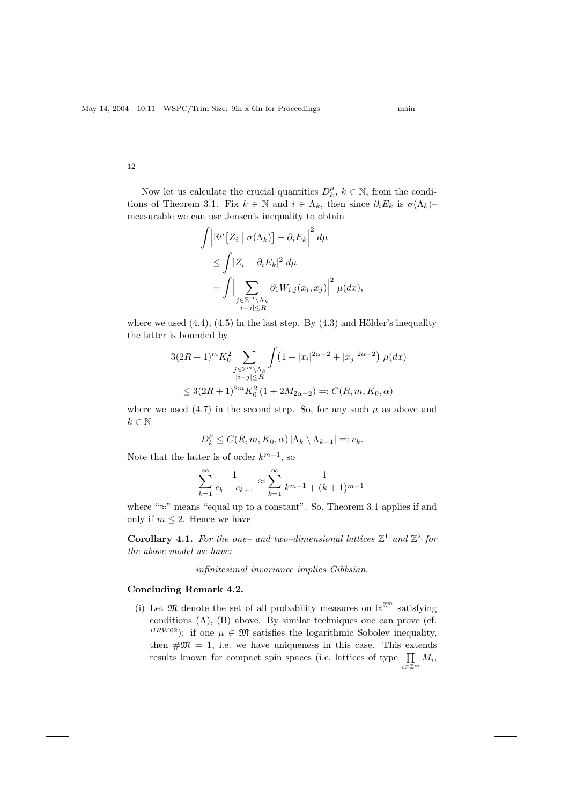12

Now let us calculate the crucial quantities  $D_k^{\mu}$ ,  $k \in \mathbb{N}$ , from the conditions of Theorem 3.1. Fix  $k \in \mathbb{N}$  and  $i \in \Lambda_k$ , then since  $\partial_i E_k$  is  $\sigma(\Lambda_k)$ – measurable we can use Jensen's inequality to obtain

$$
\int \left| \mathbb{E}^{\mu} \left[ Z_i \mid \sigma(\Lambda_k) \right] - \partial_i E_k \right|^2 d\mu
$$
  
\n
$$
\leq \int |Z_i - \partial_i E_k|^2 d\mu
$$
  
\n
$$
= \int \Big| \sum_{\substack{j \in \mathbb{Z}^m \setminus \Lambda_k \\ |i - j| \leq R}} \partial_1 W_{i,j}(x_i, x_j) \Big|^2 \mu(dx),
$$

where we used  $(4.4)$ ,  $(4.5)$  in the last step. By  $(4.3)$  and Hölder's inequality the latter is bounded by

$$
3(2R+1)^m K_0^2 \sum_{\substack{j\in\mathbb{Z}^m\backslash\Lambda_k\\|i-j|\leq R}} \int (1+|x_i|^{2\alpha-2}+|x_j|^{2\alpha-2}) \mu(dx)
$$
  

$$
\leq 3(2R+1)^{2m} K_0^2 (1+2M_{2\alpha-2}) =: C(R, m, K_0, \alpha)
$$

where we used  $(4.7)$  in the second step. So, for any such  $\mu$  as above and  $k\in\mathbb{N}$ 

$$
D_k^{\mu} \le C(R, m, K_0, \alpha) |\Lambda_k \setminus \Lambda_{k-1}| =: c_k.
$$

Note that the latter is of order  $k^{m-1}$ , so

$$
\sum_{k=1}^{\infty} \frac{1}{c_k + c_{k+1}} \approx \sum_{k=1}^{\infty} \frac{1}{k^{m-1} + (k+1)^{m-1}}
$$

where " $\approx$ " means "equal up to a constant". So, Theorem 3.1 applies if and only if  $m \leq 2$ . Hence we have

Corollary 4.1. For the one- and two-dimensional lattices  $\mathbb{Z}^1$  and  $\mathbb{Z}^2$  for the above model we have:

infinitesimal invariance implies Gibbsian.

# Concluding Remark 4.2.

(i) Let  $\mathfrak{M}$  denote the set of all probability measures on  $\mathbb{R}^{\mathbb{Z}^m}$  satisfying conditions (A), (B) above. By similar techniques one can prove (cf.  $BRW02$ ): if one  $\mu \in \mathfrak{M}$  satisfies the logarithmic Sobolev inequality, then  $\#\mathfrak{M} = 1$ , i.e. we have uniqueness in this case. This extends results known for compact spin spaces (i.e. lattices of type  $\prod$  $\prod_{i\in\mathbb{Z}^m}M_i,$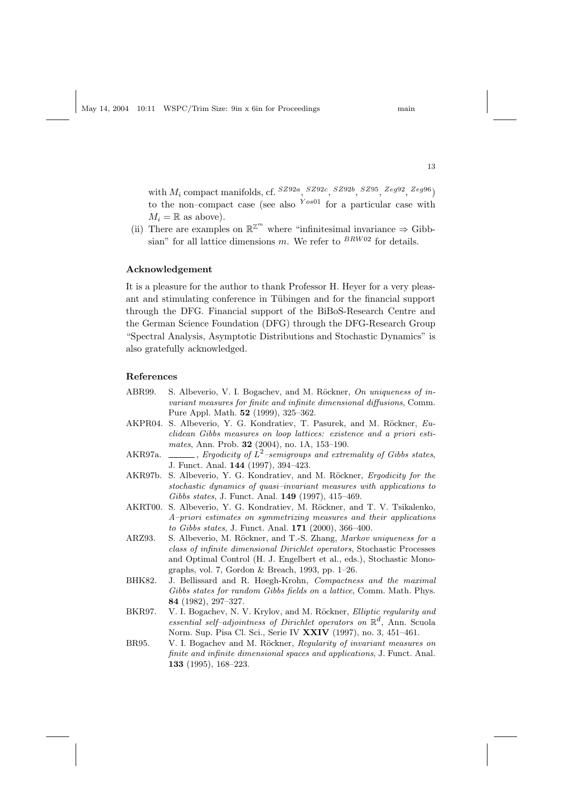with  $M_i$  compact manifolds, cf.  $^{SZ92a}$ ,  $^{SZ92c}$ ,  $^{SZ92b}$ ,  $^{SZ95}$ ,  $^{Zeg92}$ ,  $^{Zeg96}$ ) to the non–compact case (see also  $Y^{os01}$  for a particular case with  $M_i = \mathbb{R}$  as above).

(ii) There are examples on  $\mathbb{R}^{\mathbb{Z}^m}$  where "infinitesimal invariance  $\Rightarrow$  Gibbsian" for all lattice dimensions m. We refer to  $BRW02$  for details.

#### Acknowledgement

It is a pleasure for the author to thank Professor H. Heyer for a very pleasant and stimulating conference in Tübingen and for the financial support through the DFG. Financial support of the BiBoS-Research Centre and the German Science Foundation (DFG) through the DFG-Research Group "Spectral Analysis, Asymptotic Distributions and Stochastic Dynamics" is also gratefully acknowledged.

#### References

- ABR99. S. Albeverio, V. I. Bogachev, and M. Röckner, On uniqueness of invariant measures for finite and infinite dimensional diffusions, Comm. Pure Appl. Math. 52 (1999), 325–362.
- AKPR04. S. Albeverio, Y. G. Kondratiev, T. Pasurek, and M. Röckner, Euclidean Gibbs measures on loop lattices: existence and a priori estimates, Ann. Prob. 32 (2004), no. 1A, 153–190.
- AKR97a.  $\_\_\_\_\$ for Ergodicity of  $\dot{L}^2$ -semigroups and extremality of Gibbs states, J. Funct. Anal. 144 (1997), 394–423.
- AKR97b. S. Albeverio, Y. G. Kondratiev, and M. Röckner, Ergodicity for the stochastic dynamics of quasi–invariant measures with applications to Gibbs states, J. Funct. Anal. 149 (1997), 415–469.
- AKRT00. S. Albeverio, Y. G. Kondratiev, M. Röckner, and T. V. Tsikalenko, A–priori estimates on symmetrizing measures and their applications to Gibbs states, J. Funct. Anal. 171 (2000), 366–400.
- ARZ93. S. Albeverio, M. Röckner, and T.-S. Zhang, Markov uniqueness for a class of infinite dimensional Dirichlet operators, Stochastic Processes and Optimal Control (H. J. Engelbert et al., eds.), Stochastic Monographs, vol. 7, Gordon & Breach, 1993, pp. 1–26.
- BHK82. J. Bellissard and R. Høegh-Krohn, Compactness and the maximal Gibbs states for random Gibbs fields on a lattice, Comm. Math. Phys. 84 (1982), 297–327.
- BKR97. V. I. Bogachev, N. V. Krylov, and M. Röckner, *Elliptic regularity and* essential self-adjointness of Dirichlet operators on  $\mathbb{R}^d$ , Ann. Scuola Norm. Sup. Pisa Cl. Sci., Serie IV XXIV (1997), no. 3, 451–461.
- BR95. V. I. Bogachev and M. Röckner, Regularity of invariant measures on finite and infinite dimensional spaces and applications, J. Funct. Anal. 133 (1995), 168–223.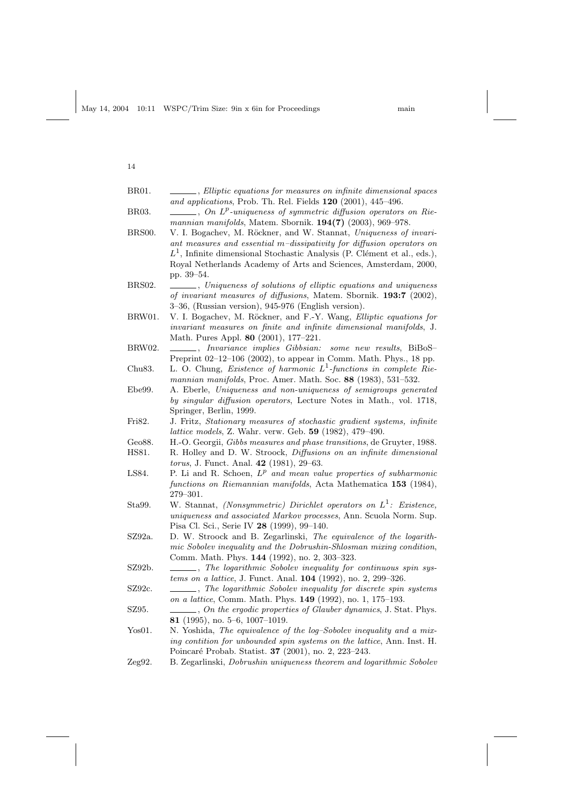| BR01.        | ____, Elliptic equations for measures on infinite dimensional spaces                   |
|--------------|----------------------------------------------------------------------------------------|
|              | and applications, Prob. Th. Rel. Fields 120 (2001), 445-496.                           |
| <b>BR03.</b> | $\hspace{0.1cm} \perp$ , On $L^p$ -uniqueness of symmetric diffusion operators on Rie- |
|              | mannian manifolds, Matem. Sbornik. 194(7) (2003), 969-978.                             |
| BRS00.       | V. I. Bogachev, M. Röckner, and W. Stannat, Uniqueness of invari-                      |
|              | ant measures and essential m-dissipativity for diffusion operators on                  |
|              | $L1$ , Infinite dimensional Stochastic Analysis (P. Clément et al., eds.),             |
|              | Royal Netherlands Academy of Arts and Sciences, Amsterdam, 2000,                       |
|              | pp. 39–54.                                                                             |
| BRS02.       | ____, Uniqueness of solutions of elliptic equations and uniqueness                     |
|              | of invariant measures of diffusions, Matem. Sbornik. 193:7 (2002),                     |
|              | 3-36, (Russian version), 945-976 (English version).                                    |
| BRW01.       | V. I. Bogachev, M. Röckner, and F.-Y. Wang, Elliptic equations for                     |
|              | invariant measures on finite and infinite dimensional manifolds, J.                    |
|              | Math. Pures Appl. 80 (2001), 177-221.                                                  |
| BRW02.       | $\_\_\_\$ , Invariance implies Gibbsian:<br>some new results, BiBoS-                   |
|              | Preprint 02-12-106 (2002), to appear in Comm. Math. Phys., 18 pp.                      |
| Chu83.       | L. O. Chung, <i>Existence of harmonic</i> $L^1$ -functions in complete Rie-            |
|              | mannian manifolds, Proc. Amer. Math. Soc. 88 (1983), 531-532.                          |
| Ebe99.       | A. Eberle, Uniqueness and non-uniqueness of semigroups generated                       |
|              | by singular diffusion operators, Lecture Notes in Math., vol. 1718,                    |
|              | Springer, Berlin, 1999.                                                                |
| Fri82.       | J. Fritz, Stationary measures of stochastic gradient systems, infinite                 |
|              | <i>lattice models</i> , Z. Wahr. verw. Geb. 59 (1982), 479–490.                        |
| Geo88.       | H.-O. Georgii, Gibbs measures and phase transitions, de Gruyter, 1988.                 |
| HS81.        | R. Holley and D. W. Stroock, Diffusions on an infinite dimensional                     |
|              | torus, J. Funct. Anal. 42 (1981), 29-63.                                               |
| LS84.        | P. Li and R. Schoen, $L^p$ and mean value properties of subharmonic                    |
|              | functions on Riemannian manifolds, Acta Mathematica 153 (1984),                        |
|              | $279 - 301.$                                                                           |
| Sta99.       | W. Stannat, (Nonsymmetric) Dirichlet operators on $L^1$ : Existence,                   |
|              | uniqueness and associated Markov processes, Ann. Scuola Norm. Sup.                     |
|              | Pisa Cl. Sci., Serie IV 28 (1999), 99-140.                                             |
| SZ92a.       | D. W. Stroock and B. Zegarlinski, The equivalence of the logarith-                     |
|              | mic Sobolev inequality and the Dobrushin-Shlosman mixing condition,                    |
|              | Comm. Math. Phys. 144 (1992), no. 2, 303-323.                                          |
| SZ92b.       | -, The logarithmic Sobolev inequality for continuous spin sys-                         |
|              | tems on a lattice, J. Funct. Anal. 104 (1992), no. 2, 299-326.                         |
| SZ92c.       | The logarithmic Sobolev inequality for discrete spin systems                           |
|              | on a lattice, Comm. Math. Phys. 149 (1992), no. 1, 175-193.                            |
| SZ95.        |                                                                                        |
|              | 81 (1995), no. 5-6, 1007-1019.                                                         |
| Yos01.       | N. Yoshida, The equivalence of the log-Sobolev inequality and a mix-                   |
|              | ing contition for unbounded spin systems on the lattice, Ann. Inst. H.                 |
|              | Poincaré Probab. Statist. 37 (2001), no. 2, 223-243.                                   |
| Zeg92.       | B. Zegarlinski, Dobrushin uniqueness theorem and logarithmic Sobolev                   |